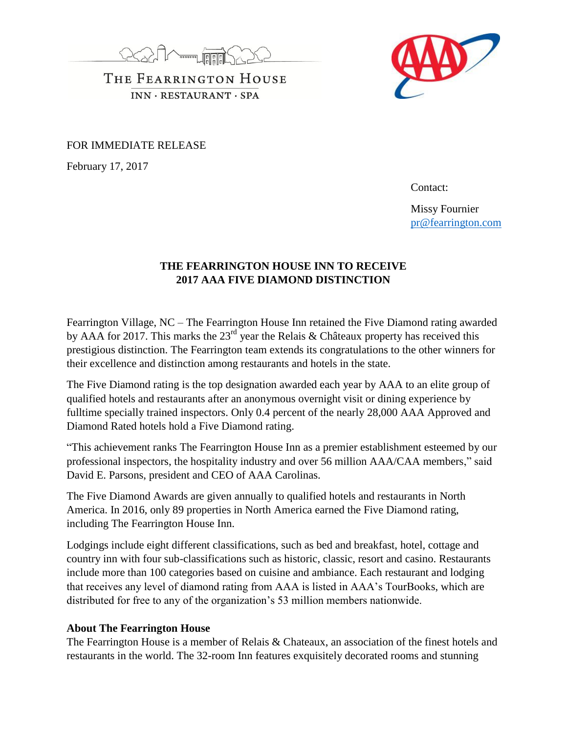



THE FEARRINGTON HOUSE  $INN \cdot RESTAURANT \cdot SPA$ 

FOR IMMEDIATE RELEASE

February 17, 2017

Contact:

Missy Fournier [pr@fearrington.com](mailto:pr@fearrington.com)

## **THE FEARRINGTON HOUSE INN TO RECEIVE 2017 AAA FIVE DIAMOND DISTINCTION**

Fearrington Village, NC – The Fearrington House Inn retained the Five Diamond rating awarded by AAA for 2017. This marks the  $23<sup>rd</sup>$  year the Relais & Châteaux property has received this prestigious distinction. The Fearrington team extends its congratulations to the other winners for their excellence and distinction among restaurants and hotels in the state.

The Five Diamond rating is the top designation awarded each year by AAA to an elite group of qualified hotels and restaurants after an anonymous overnight visit or dining experience by fulltime specially trained inspectors. Only 0.4 percent of the nearly 28,000 AAA Approved and Diamond Rated hotels hold a Five Diamond rating.

"This achievement ranks The Fearrington House Inn as a premier establishment esteemed by our professional inspectors, the hospitality industry and over 56 million AAA/CAA members," said David E. Parsons, president and CEO of AAA Carolinas.

The Five Diamond Awards are given annually to qualified hotels and restaurants in North America. In 2016, only 89 properties in North America earned the Five Diamond rating, including The Fearrington House Inn.

Lodgings include eight different classifications, such as bed and breakfast, hotel, cottage and country inn with four sub-classifications such as historic, classic, resort and casino. Restaurants include more than 100 categories based on cuisine and ambiance. Each restaurant and lodging that receives any level of diamond rating from AAA is listed in AAA's TourBooks, which are distributed for free to any of the organization's 53 million members nationwide.

## **About The Fearrington House**

The Fearrington House is a member of Relais & Chateaux, an association of the finest hotels and restaurants in the world. The 32-room Inn features exquisitely decorated rooms and stunning